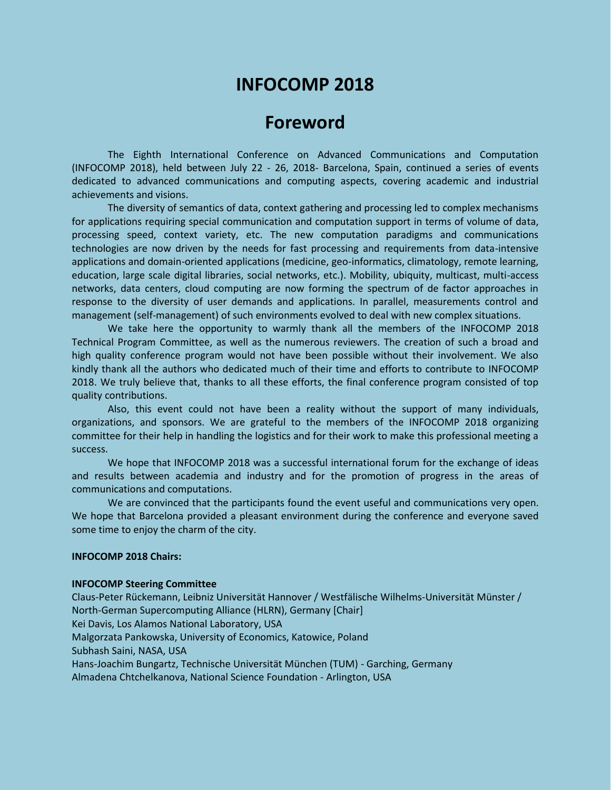# **INFOCOMP 2018**

## **Foreword**

The Eighth International Conference on Advanced Communications and Computation (INFOCOMP 2018), held between July 22 - 26, 2018- Barcelona, Spain, continued a series of events dedicated to advanced communications and computing aspects, covering academic and industrial achievements and visions.

The diversity of semantics of data, context gathering and processing led to complex mechanisms for applications requiring special communication and computation support in terms of volume of data, processing speed, context variety, etc. The new computation paradigms and communications technologies are now driven by the needs for fast processing and requirements from data-intensive applications and domain-oriented applications (medicine, geo-informatics, climatology, remote learning, education, large scale digital libraries, social networks, etc.). Mobility, ubiquity, multicast, multi-access networks, data centers, cloud computing are now forming the spectrum of de factor approaches in response to the diversity of user demands and applications. In parallel, measurements control and management (self-management) of such environments evolved to deal with new complex situations.

We take here the opportunity to warmly thank all the members of the INFOCOMP 2018 Technical Program Committee, as well as the numerous reviewers. The creation of such a broad and high quality conference program would not have been possible without their involvement. We also kindly thank all the authors who dedicated much of their time and efforts to contribute to INFOCOMP 2018. We truly believe that, thanks to all these efforts, the final conference program consisted of top quality contributions.

Also, this event could not have been a reality without the support of many individuals, organizations, and sponsors. We are grateful to the members of the INFOCOMP 2018 organizing committee for their help in handling the logistics and for their work to make this professional meeting a success.

We hope that INFOCOMP 2018 was a successful international forum for the exchange of ideas and results between academia and industry and for the promotion of progress in the areas of communications and computations.

We are convinced that the participants found the event useful and communications very open. We hope that Barcelona provided a pleasant environment during the conference and everyone saved some time to enjoy the charm of the city.

## **INFOCOMP 2018 Chairs:**

#### **INFOCOMP Steering Committee**

Claus-Peter Rückemann, Leibniz Universität Hannover / Westfälische Wilhelms-Universität Münster / North-German Supercomputing Alliance (HLRN), Germany [Chair] Kei Davis, Los Alamos National Laboratory, USA Malgorzata Pankowska, University of Economics, Katowice, Poland Subhash Saini, NASA, USA Hans-Joachim Bungartz, Technische Universität München (TUM) - Garching, Germany Almadena Chtchelkanova, National Science Foundation - Arlington, USA